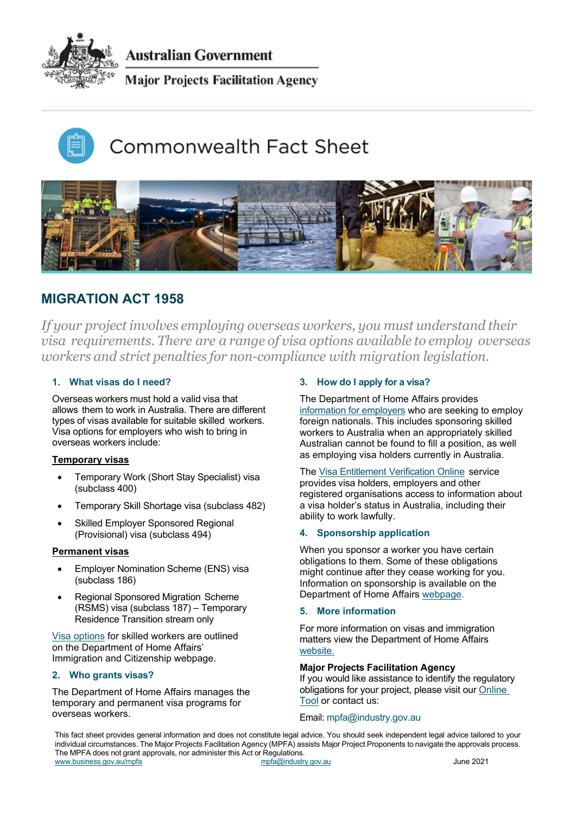

Australian Government

**Major Projects Facilitation Agency** 

# Commonwealth Fact Sheet



# **MIGRATION ACT 1958**

*If your project involves employing overseas workers, you must understand their visa requirements. There are a range of visa options available to employ overseas workers and strict penalties for non-compliance with migration legislation.*

# **1. What visas do I need?**

Overseas workers must hold a valid visa that allows them to work in Australia. There are different types of visas available for suitable skilled workers. Visa options for employers who wish to bring in overseas workers include:

# **Temporary visas**

- Temporary Work (Short Stay Specialist) visa (subclass 400)
- Temporary Skill Shortage visa (subclass 482)
- Skilled Employer Sponsored Regional (Provisional) visa (subclass 494)

### **Permanent visas**

- **•** Employer Nomination Scheme (ENS) visa (subclass 186)
- Regional Sponsored Migration Scheme (RSMS) visa (subclass 187) – Temporary Residence Transition stream only

[Visa options](https://immi.homeaffairs.gov.au/visas/getting-a-visa/visa-listing) for skilled workers are outlined on the Department of Home Affairs' Immigration and Citizenship webpage.

### **2. Who grants visas?**

The Department of Home Affairs manages the temporary and permanent visa programs for overseas workers.

# **3. How do I apply for a visa?**

The Department of Home Affairs provides [information for employers](https://immi.homeaffairs.gov.au/visas/employing-and-sponsoring-someone/learn-about-employing-migrants/overview) who are seeking to employ foreign nationals. This includes sponsoring skilled workers to Australia when an appropriately skilled Australian cannot be found to fill a position, as well as employing visa holders currently in Australia.

The [Visa Entitlement Verification Online](http://www.border.gov.au/Busi/Visa) service provides visa holders, employers and other registered organisations access to information about a visa holder's status in Australia, including their ability to work lawfully.

# **4. Sponsorship application**

When you sponsor a worker you have certain obligations to them. Some of these obligations might continue after they cease working for you. Information on sponsorship is available on the Department of Home Affairs [webpage](https://immi.homeaffairs.gov.au/).

### **5. More information**

For more information on visas and immigration matters view the Department of Home Affairs [website.](https://immi.homeaffairs.gov.au/visas/employing-and-sponsoring-someone/existing-sponsors/standard-business-accredited-obligations)

### **Major Projects Facilitation Agency**

If you would like assistance to identify the regulatory obligations for your project, please visit our [Online](https://majorprojectshelp.business.gov.au/)  [Tool](https://majorprojectshelp.business.gov.au/) or contact us:

### Email: mpfa@industry.gov.au

This fact sheet provides general information and does not constitute legal advice. You should seek independent legal advice tailored to your individual circumstances. The Major Projects Facilitation Agency (MPFA) assists Major Project Proponents to navigate the approvals process. The MPFA does not grant approvals, nor administer this Act or Regulations. [www.business.gov.au/mpfa](http://www.business.gov.au/mpfa) mpfa/mpfa mpfa@industry.gov.au June 2021